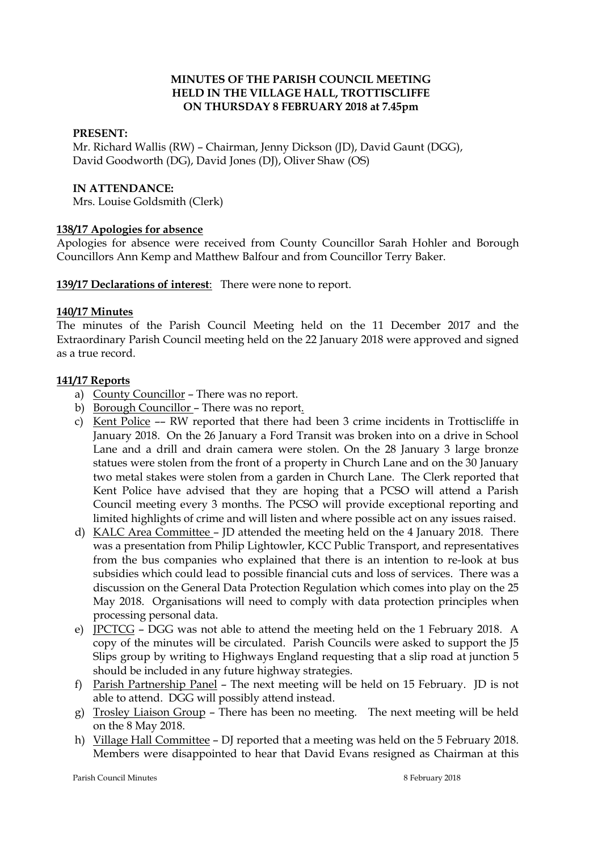#### **MINUTES OF THE PARISH COUNCIL MEETING HELD IN THE VILLAGE HALL, TROTTISCLIFFE ON THURSDAY 8 FEBRUARY 2018 at 7.45pm**

#### **PRESENT:**

Mr. Richard Wallis (RW) – Chairman, Jenny Dickson (JD), David Gaunt (DGG), David Goodworth (DG), David Jones (DJ), Oliver Shaw (OS)

#### **IN ATTENDANCE:**

Mrs. Louise Goldsmith (Clerk)

#### **138/17 Apologies for absence**

Apologies for absence were received from County Councillor Sarah Hohler and Borough Councillors Ann Kemp and Matthew Balfour and from Councillor Terry Baker.

#### **139/17 Declarations of interest**: There were none to report.

#### **140/17 Minutes**

The minutes of the Parish Council Meeting held on the 11 December 2017 and the Extraordinary Parish Council meeting held on the 22 January 2018 were approved and signed as a true record.

#### **141/17 Reports**

- a) County Councillor There was no report.
- b) Borough Councillor There was no report.
- c) Kent Police –– RW reported that there had been 3 crime incidents in Trottiscliffe in January 2018. On the 26 January a Ford Transit was broken into on a drive in School Lane and a drill and drain camera were stolen. On the 28 January 3 large bronze statues were stolen from the front of a property in Church Lane and on the 30 January two metal stakes were stolen from a garden in Church Lane. The Clerk reported that Kent Police have advised that they are hoping that a PCSO will attend a Parish Council meeting every 3 months. The PCSO will provide exceptional reporting and limited highlights of crime and will listen and where possible act on any issues raised.
- d) KALC Area Committee JD attended the meeting held on the 4 January 2018. There was a presentation from Philip Lightowler, KCC Public Transport, and representatives from the bus companies who explained that there is an intention to re-look at bus subsidies which could lead to possible financial cuts and loss of services. There was a discussion on the General Data Protection Regulation which comes into play on the 25 May 2018. Organisations will need to comply with data protection principles when processing personal data.
- e) JPCTCG DGG was not able to attend the meeting held on the 1 February 2018. A copy of the minutes will be circulated. Parish Councils were asked to support the J5 Slips group by writing to Highways England requesting that a slip road at junction 5 should be included in any future highway strategies.
- f) Parish Partnership Panel The next meeting will be held on 15 February. JD is not able to attend. DGG will possibly attend instead.
- g) Trosley Liaison Group There has been no meeting. The next meeting will be held on the 8 May 2018.
- h) Village Hall Committee DJ reported that a meeting was held on the 5 February 2018. Members were disappointed to hear that David Evans resigned as Chairman at this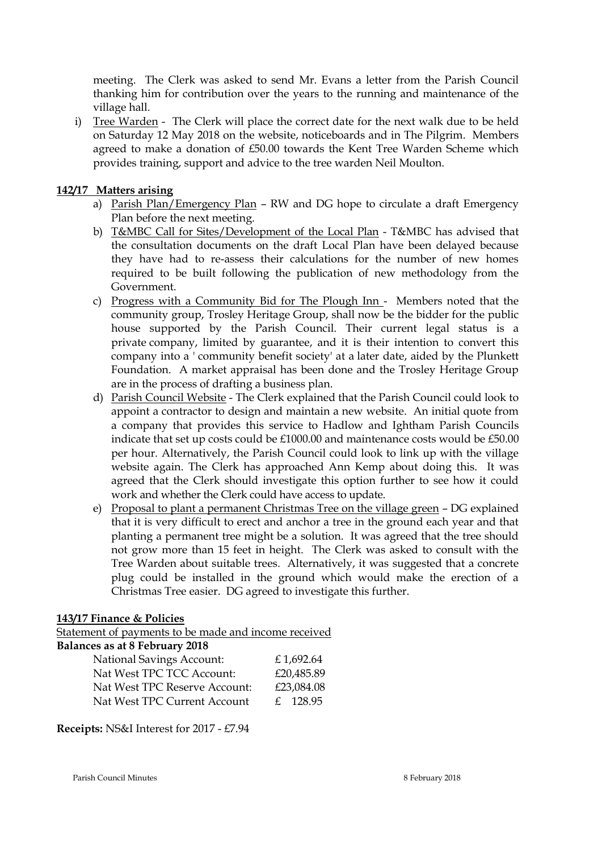meeting. The Clerk was asked to send Mr. Evans a letter from the Parish Council thanking him for contribution over the years to the running and maintenance of the village hall.

i) Tree Warden - The Clerk will place the correct date for the next walk due to be held on Saturday 12 May 2018 on the website, noticeboards and in The Pilgrim. Members agreed to make a donation of £50.00 towards the Kent Tree Warden Scheme which provides training, support and advice to the tree warden Neil Moulton.

## **142/17 Matters arising**

- a) Parish Plan/Emergency Plan RW and DG hope to circulate a draft Emergency Plan before the next meeting.
- b) T&MBC Call for Sites/Development of the Local Plan T&MBC has advised that the consultation documents on the draft Local Plan have been delayed because they have had to re-assess their calculations for the number of new homes required to be built following the publication of new methodology from the Government.
- c) Progress with a Community Bid for The Plough Inn Members noted that the community group, Trosley Heritage Group, shall now be the bidder for the public house supported by the Parish Council. Their current legal status is a private company, limited by guarantee, and it is their intention to convert this company into a ' community benefit society' at a later date, aided by the Plunkett Foundation. A market appraisal has been done and the Trosley Heritage Group are in the process of drafting a business plan.
- d) Parish Council Website The Clerk explained that the Parish Council could look to appoint a contractor to design and maintain a new website. An initial quote from a company that provides this service to Hadlow and Ightham Parish Councils indicate that set up costs could be £1000.00 and maintenance costs would be £50.00 per hour. Alternatively, the Parish Council could look to link up with the village website again. The Clerk has approached Ann Kemp about doing this. It was agreed that the Clerk should investigate this option further to see how it could work and whether the Clerk could have access to update.
- e) Proposal to plant a permanent Christmas Tree on the village green DG explained that it is very difficult to erect and anchor a tree in the ground each year and that planting a permanent tree might be a solution. It was agreed that the tree should not grow more than 15 feet in height. The Clerk was asked to consult with the Tree Warden about suitable trees. Alternatively, it was suggested that a concrete plug could be installed in the ground which would make the erection of a Christmas Tree easier. DG agreed to investigate this further.

### **143/17 Finance & Policies**

Statement of payments to be made and income received

# **Balances as at 8 February 2018**

| $\cdots$ $\cdots$ $\cdots$ $\cdots$ |            |
|-------------------------------------|------------|
| <b>National Savings Account:</b>    | £1,692.64  |
| Nat West TPC TCC Account:           | £20,485.89 |
| Nat West TPC Reserve Account:       | £23,084.08 |
| Nat West TPC Current Account        | f. 128.95  |

### **Receipts:** NS&I Interest for 2017 - £7.94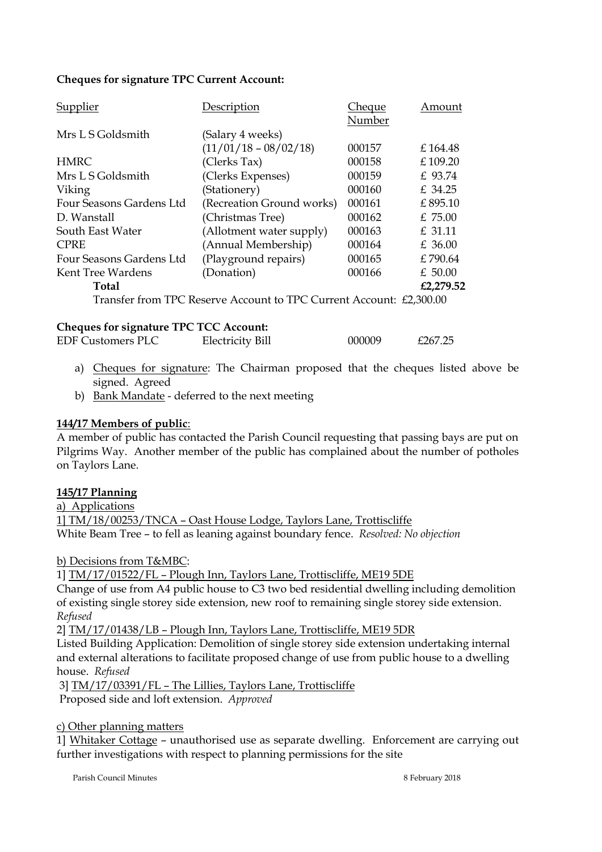## **Cheques for signature TPC Current Account:**

| Supplier                 | Description                                                         | Cheque | Amount    |
|--------------------------|---------------------------------------------------------------------|--------|-----------|
|                          |                                                                     | Number |           |
| Mrs L S Goldsmith        | (Salary 4 weeks)                                                    |        |           |
|                          | $(11/01/18 - 08/02/18)$                                             | 000157 | £164.48   |
| HMRC                     | (Clerks Tax)                                                        | 000158 | £ 109.20  |
| Mrs L S Goldsmith        | (Clerks Expenses)                                                   | 000159 | £ 93.74   |
| Viking                   | (Stationery)                                                        | 000160 | £ 34.25   |
| Four Seasons Gardens Ltd | (Recreation Ground works)                                           | 000161 | £895.10   |
| D. Wanstall              | (Christmas Tree)                                                    | 000162 | £75.00    |
| South East Water         | (Allotment water supply)                                            | 000163 | £ 31.11   |
| <b>CPRE</b>              | (Annual Membership)                                                 | 000164 | $£$ 36.00 |
| Four Seasons Gardens Ltd | (Playground repairs)                                                | 000165 | £790.64   |
| Kent Tree Wardens        | (Donation)                                                          | 000166 | $£$ 50.00 |
| <b>Total</b>             |                                                                     |        | £2,279.52 |
|                          | Transfer from TPC Reserve Account to TPC Current Account: £2,300.00 |        |           |

### **Cheques for signature TPC TCC Account:**

| <b>EDF Customers PLC</b> | Electricity Bill | 000009 | £267.25 |
|--------------------------|------------------|--------|---------|

- a) Cheques for signature: The Chairman proposed that the cheques listed above be signed. Agreed
- b) Bank Mandate deferred to the next meeting

### **144/17 Members of public**:

A member of public has contacted the Parish Council requesting that passing bays are put on Pilgrims Way. Another member of the public has complained about the number of potholes on Taylors Lane.

### **145/17 Planning**

a) Applications

1] TM/18/00253/TNCA – Oast House Lodge, Taylors Lane, Trottiscliffe White Beam Tree – to fell as leaning against boundary fence. *Resolved: No objection*

b) Decisions from T&MBC:

1] TM/17/01522/FL – Plough Inn, Taylors Lane, Trottiscliffe, ME19 5DE

Change of use from A4 public house to C3 two bed residential dwelling including demolition of existing single storey side extension, new roof to remaining single storey side extension. *Refused*

2] TM/17/01438/LB – Plough Inn, Taylors Lane, Trottiscliffe, ME19 5DR

Listed Building Application: Demolition of single storey side extension undertaking internal and external alterations to facilitate proposed change of use from public house to a dwelling house. *Refused*

3] TM/17/03391/FL – The Lillies, Taylors Lane, Trottiscliffe

Proposed side and loft extension. *Approved*

### c) Other planning matters

1] Whitaker Cottage – unauthorised use as separate dwelling. Enforcement are carrying out further investigations with respect to planning permissions for the site

Parish Council Minutes 8 February 2018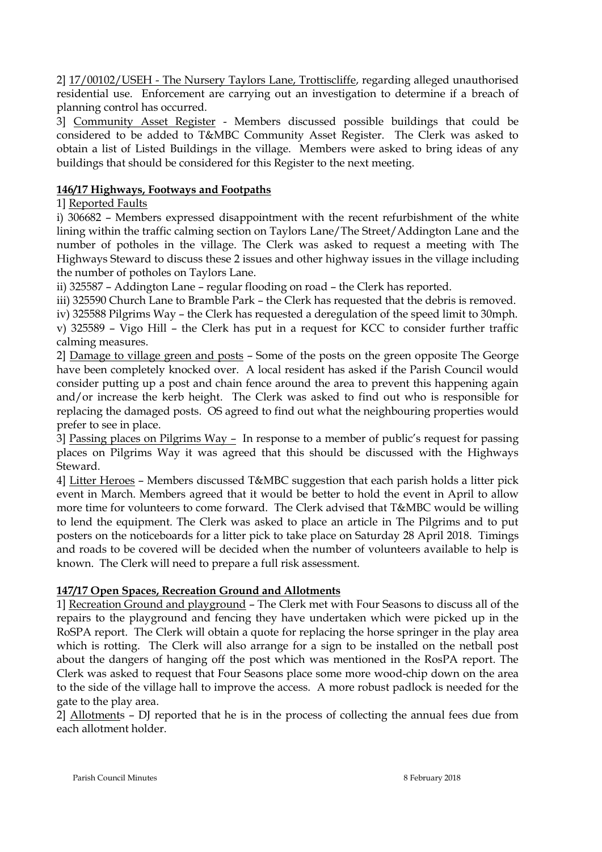2] 17/00102/USEH - The Nursery Taylors Lane, Trottiscliffe, regarding alleged unauthorised residential use. Enforcement are carrying out an investigation to determine if a breach of planning control has occurred.

3] Community Asset Register - Members discussed possible buildings that could be considered to be added to T&MBC Community Asset Register. The Clerk was asked to obtain a list of Listed Buildings in the village. Members were asked to bring ideas of any buildings that should be considered for this Register to the next meeting.

# **146/17 Highways, Footways and Footpaths**

# 1] Reported Faults

i) 306682 – Members expressed disappointment with the recent refurbishment of the white lining within the traffic calming section on Taylors Lane/The Street/Addington Lane and the number of potholes in the village. The Clerk was asked to request a meeting with The Highways Steward to discuss these 2 issues and other highway issues in the village including the number of potholes on Taylors Lane.

ii) 325587 – Addington Lane – regular flooding on road – the Clerk has reported.

iii) 325590 Church Lane to Bramble Park – the Clerk has requested that the debris is removed.

iv) 325588 Pilgrims Way – the Clerk has requested a deregulation of the speed limit to 30mph. v) 325589 – Vigo Hill – the Clerk has put in a request for KCC to consider further traffic calming measures.

2] Damage to village green and posts – Some of the posts on the green opposite The George have been completely knocked over. A local resident has asked if the Parish Council would consider putting up a post and chain fence around the area to prevent this happening again and/or increase the kerb height. The Clerk was asked to find out who is responsible for replacing the damaged posts. OS agreed to find out what the neighbouring properties would prefer to see in place.

3] Passing places on Pilgrims Way – In response to a member of public's request for passing places on Pilgrims Way it was agreed that this should be discussed with the Highways Steward.

4] Litter Heroes – Members discussed T&MBC suggestion that each parish holds a litter pick event in March. Members agreed that it would be better to hold the event in April to allow more time for volunteers to come forward. The Clerk advised that T&MBC would be willing to lend the equipment. The Clerk was asked to place an article in The Pilgrims and to put posters on the noticeboards for a litter pick to take place on Saturday 28 April 2018. Timings and roads to be covered will be decided when the number of volunteers available to help is known. The Clerk will need to prepare a full risk assessment.

# **147/17 Open Spaces, Recreation Ground and Allotments**

1] Recreation Ground and playground – The Clerk met with Four Seasons to discuss all of the repairs to the playground and fencing they have undertaken which were picked up in the RoSPA report. The Clerk will obtain a quote for replacing the horse springer in the play area which is rotting. The Clerk will also arrange for a sign to be installed on the netball post about the dangers of hanging off the post which was mentioned in the RosPA report. The Clerk was asked to request that Four Seasons place some more wood-chip down on the area to the side of the village hall to improve the access. A more robust padlock is needed for the gate to the play area.

2] Allotments – DJ reported that he is in the process of collecting the annual fees due from each allotment holder.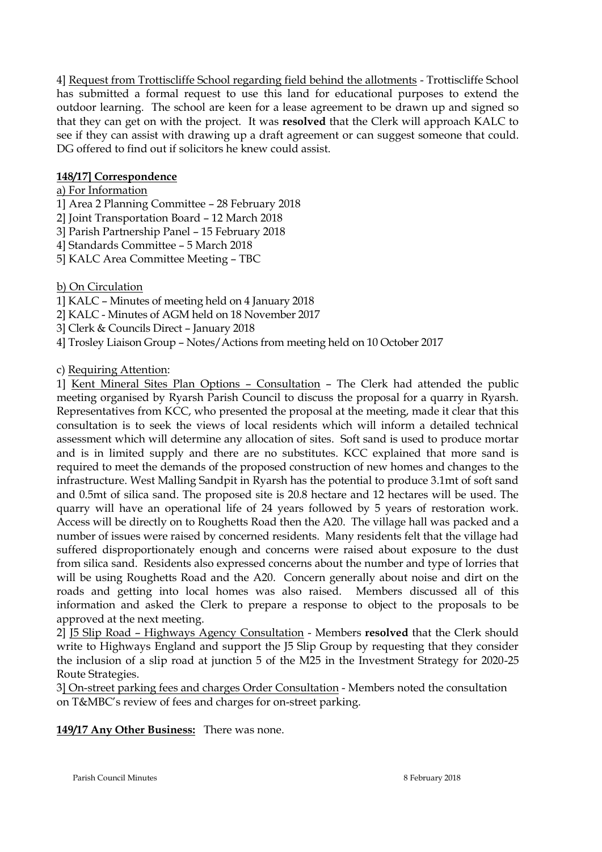4] Request from Trottiscliffe School regarding field behind the allotments - Trottiscliffe School has submitted a formal request to use this land for educational purposes to extend the outdoor learning. The school are keen for a lease agreement to be drawn up and signed so that they can get on with the project. It was **resolved** that the Clerk will approach KALC to see if they can assist with drawing up a draft agreement or can suggest someone that could. DG offered to find out if solicitors he knew could assist.

# **148/17] Correspondence**

## a) For Information

- 1] Area 2 Planning Committee 28 February 2018
- 2] Joint Transportation Board 12 March 2018
- 3] Parish Partnership Panel 15 February 2018
- 4] Standards Committee 5 March 2018
- 5] KALC Area Committee Meeting TBC

# b) On Circulation

- 1] KALC Minutes of meeting held on 4 January 2018
- 2] KALC Minutes of AGM held on 18 November 2017
- 3] Clerk & Councils Direct January 2018
- 4] Trosley Liaison Group Notes/Actions from meeting held on 10 October 2017

# c) Requiring Attention:

1] Kent Mineral Sites Plan Options – Consultation – The Clerk had attended the public meeting organised by Ryarsh Parish Council to discuss the proposal for a quarry in Ryarsh. Representatives from KCC, who presented the proposal at the meeting, made it clear that this consultation is to seek the views of local residents which will inform a detailed technical assessment which will determine any allocation of sites. Soft sand is used to produce mortar and is in limited supply and there are no substitutes. KCC explained that more sand is required to meet the demands of the proposed construction of new homes and changes to the infrastructure. West Malling Sandpit in Ryarsh has the potential to produce 3.1mt of soft sand and 0.5mt of silica sand. The proposed site is 20.8 hectare and 12 hectares will be used. The quarry will have an operational life of 24 years followed by 5 years of restoration work. Access will be directly on to Roughetts Road then the A20. The village hall was packed and a number of issues were raised by concerned residents. Many residents felt that the village had suffered disproportionately enough and concerns were raised about exposure to the dust from silica sand. Residents also expressed concerns about the number and type of lorries that will be using Roughetts Road and the A20. Concern generally about noise and dirt on the roads and getting into local homes was also raised. Members discussed all of this information and asked the Clerk to prepare a response to object to the proposals to be approved at the next meeting.

2] J5 Slip Road – Highways Agency Consultation - Members **resolved** that the Clerk should write to Highways England and support the J5 Slip Group by requesting that they consider the inclusion of a slip road at junction 5 of the M25 in the Investment Strategy for 2020-25 Route Strategies.

3] On-street parking fees and charges Order Consultation - Members noted the consultation on T&MBC's review of fees and charges for on-street parking.

**149/17 Any Other Business:** There was none.